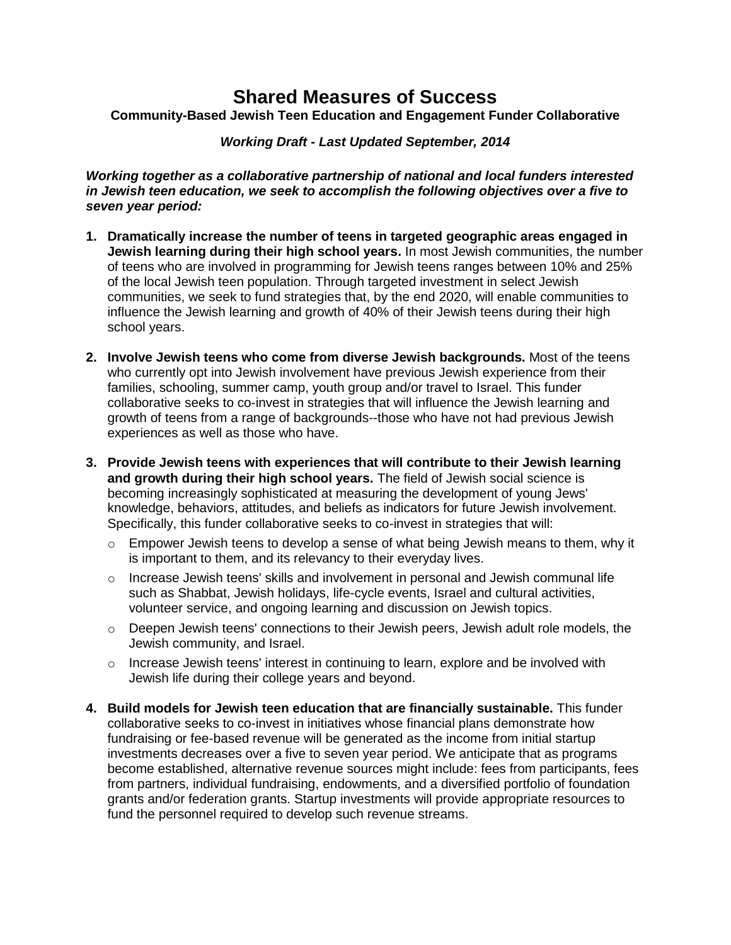## **Shared Measures of Success**

**Community-Based Jewish Teen Education and Engagement Funder Collaborative**

*Working Draft - Last Updated September, 2014*

*Working together as a collaborative partnership of national and local funders interested in Jewish teen education, we seek to accomplish the following objectives over a five to seven year period:*

- **1. Dramatically increase the number of teens in targeted geographic areas engaged in Jewish learning during their high school years.** In most Jewish communities, the number of teens who are involved in programming for Jewish teens ranges between 10% and 25% of the local Jewish teen population. Through targeted investment in select Jewish communities, we seek to fund strategies that, by the end 2020, will enable communities to influence the Jewish learning and growth of 40% of their Jewish teens during their high school years.
- **2. Involve Jewish teens who come from diverse Jewish backgrounds.** Most of the teens who currently opt into Jewish involvement have previous Jewish experience from their families, schooling, summer camp, youth group and/or travel to Israel. This funder collaborative seeks to co-invest in strategies that will influence the Jewish learning and growth of teens from a range of backgrounds--those who have not had previous Jewish experiences as well as those who have.
- **3. Provide Jewish teens with experiences that will contribute to their Jewish learning and growth during their high school years.** The field of Jewish social science is becoming increasingly sophisticated at measuring the development of young Jews' knowledge, behaviors, attitudes, and beliefs as indicators for future Jewish involvement. Specifically, this funder collaborative seeks to co-invest in strategies that will:
	- o Empower Jewish teens to develop a sense of what being Jewish means to them, why it is important to them, and its relevancy to their everyday lives.
	- $\circ$  Increase Jewish teens' skills and involvement in personal and Jewish communal life such as Shabbat, Jewish holidays, life-cycle events, Israel and cultural activities, volunteer service, and ongoing learning and discussion on Jewish topics.
	- o Deepen Jewish teens' connections to their Jewish peers, Jewish adult role models, the Jewish community, and Israel.
	- o Increase Jewish teens' interest in continuing to learn, explore and be involved with Jewish life during their college years and beyond.
- **4. Build models for Jewish teen education that are financially sustainable.** This funder collaborative seeks to co-invest in initiatives whose financial plans demonstrate how fundraising or fee-based revenue will be generated as the income from initial startup investments decreases over a five to seven year period. We anticipate that as programs become established, alternative revenue sources might include: fees from participants, fees from partners, individual fundraising, endowments, and a diversified portfolio of foundation grants and/or federation grants. Startup investments will provide appropriate resources to fund the personnel required to develop such revenue streams.